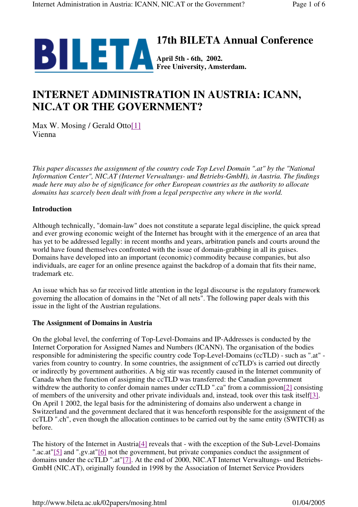

# **INTERNET ADMINISTRATION IN AUSTRIA: ICANN, NIC.AT OR THE GOVERNMENT?**

Max W. Mosing / Gerald Otto[1] Vienna

*This paper discusses the assignment of the country code Top Level Domain ".at" by the "National Information Center", NIC.AT (Internet Verwaltungs- und Betriebs-GmbH), in Austria. The findings made here may also be of significance for other European countries as the authority to allocate domains has scarcely been dealt with from a legal perspective any where in the world.*

## **Introduction**

Although technically, "domain-law" does not constitute a separate legal discipline, the quick spread and ever growing economic weight of the Internet has brought with it the emergence of an area that has yet to be addressed legally: in recent months and years, arbitration panels and courts around the world have found themselves confronted with the issue of domain-grabbing in all its guises. Domains have developed into an important (economic) commodity because companies, but also individuals, are eager for an online presence against the backdrop of a domain that fits their name, trademark etc.

An issue which has so far received little attention in the legal discourse is the regulatory framework governing the allocation of domains in the "Net of all nets". The following paper deals with this issue in the light of the Austrian regulations.

## **The Assignment of Domains in Austria**

On the global level, the conferring of Top-Level-Domains and IP-Addresses is conducted by the Internet Corporation for Assigned Names and Numbers (ICANN). The organisation of the bodies responsible for administering the specific country code Top-Level-Domains (ccTLD) - such as ".at" varies from country to country. In some countries, the assignment of ccTLD's is carried out directly or indirectly by government authorities. A big stir was recently caused in the Internet community of Canada when the function of assigning the ccTLD was transferred: the Canadian government withdrew the authority to confer domain names under ccTLD ".ca" from a commission[2] consisting of members of the university and other private individuals and, instead, took over this task itself[3]. On April 1 2002, the legal basis for the administering of domains also underwent a change in Switzerland and the government declared that it was henceforth responsible for the assignment of the ccTLD ".ch", even though the allocation continues to be carried out by the same entity (SWITCH) as before.

The history of the Internet in Austria<sup>[4]</sup> reveals that - with the exception of the Sub-Level-Domains ".ac.at"[5] and ".gv.at"[6] not the government, but private companies conduct the assignment of domains under the ccTLD ".at"[7]. At the end of 2000, NIC.AT Internet Verwaltungs- und Betriebs-GmbH (NIC.AT), originally founded in 1998 by the Association of Internet Service Providers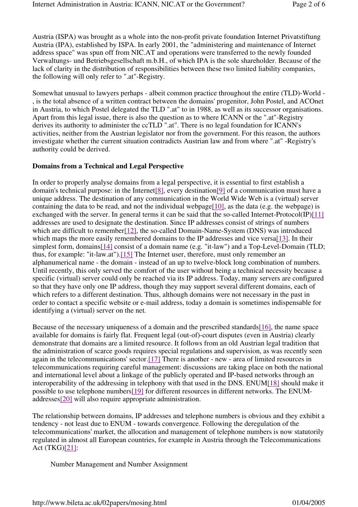Austria (ISPA) was brought as a whole into the non-profit private foundation Internet Privatstiftung Austria (IPA), established by ISPA. In early 2001, the "administering and maintenance of Internet address space" was spun off from NIC.AT and operations were transferred to the newly founded Verwaltungs- und Betriebsgesellschaft m.b.H., of which IPA is the sole shareholder. Because of the lack of clarity in the distribution of responsibilities between these two limited liability companies, the following will only refer to ".at"-Registry.

Somewhat unusual to lawyers perhaps - albeit common practice throughout the entire (TLD)-World - , is the total absence of a written contract between the domains' progenitor, John Postel, and ACOnet in Austria, to which Postel delegated the TLD ".at" to in 1988, as well as its successor organisations. Apart from this legal issue, there is also the question as to where ICANN or the ".at"-Registry derives its authority to administer the ccTLD ".at". There is no legal foundation for ICANN's activities, neither from the Austrian legislator nor from the government. For this reason, the authors investigate whether the current situation contradicts Austrian law and from where ".at" -Registry's authority could be derived.

### **Domains from a Technical and Legal Perspective**

In order to properly analyse domains from a legal perspective, it is essential to first establish a domain's technical purpose: in the Internet[8], every destination[9] of a communication must have a unique address. The destination of any communication in the World Wide Web is a (virtual) server containing the data to be read, and not the individual webpage[ $10$ ], as the data (e.g. the webpage) is exchanged with the server. In general terms it can be said that the so-called Internet-Protocol(IP)[11] addresses are used to designate the destination. Since IP addresses consist of strings of numbers which are difficult to remember[12], the so-called Domain-Name-System (DNS) was introduced which maps the more easily remembered domains to the IP addresses and vice versa[13]. In their simplest form, domains[14] consist of a domain name (e.g. "it-law") and a Top-Level-Domain (TLD; thus, for example: "it-law.at").[15] The Internet user, therefore, must only remember an alphanumerical name - the domain - instead of an up to twelve-block long combination of numbers. Until recently, this only served the comfort of the user without being a technical necessity because a specific (virtual) server could only be reached via its IP address. Today, many servers are configured so that they have only one IP address, though they may support several different domains, each of which refers to a different destination. Thus, although domains were not necessary in the past in order to contact a specific website or e-mail address, today a domain is sometimes indispensable for identifying a (virtual) server on the net.

Because of the necessary uniqueness of a domain and the prescribed standards[16], the name space available for domains is fairly flat. Frequent legal (out-of)-court disputes (even in Austria) clearly demonstrate that domains are a limited resource. It follows from an old Austrian legal tradition that the administration of scarce goods requires special regulations and supervision, as was recently seen again in the telecommunications' sector.[17] There is another - new - area of limited resources in telecommunications requiring careful management: discussions are taking place on both the national and international level about a linkage of the publicly operated and IP-based networks through an interoperability of the addressing in telephony with that used in the DNS. ENUM[18] should make it possible to use telephone numbers[19] for different resources in different networks. The ENUMaddresses[20] will also require appropriate administration.

The relationship between domains, IP addresses and telephone numbers is obvious and they exhibit a tendency - not least due to ENUM - towards convergence. Following the deregulation of the telecommunications' market, the allocation and management of telephone numbers is now statutorily regulated in almost all European countries, for example in Austria through the Telecommunications Act (TKG)[21]:

Number Management and Number Assignment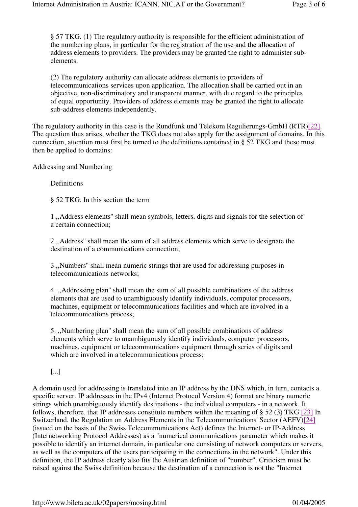§ 57 TKG. (1) The regulatory authority is responsible for the efficient administration of the numbering plans, in particular for the registration of the use and the allocation of address elements to providers. The providers may be granted the right to administer subelements.

(2) The regulatory authority can allocate address elements to providers of telecommunications services upon application. The allocation shall be carried out in an objective, non-discriminatory and transparent manner, with due regard to the principles of equal opportunity. Providers of address elements may be granted the right to allocate sub-address elements independently.

The regulatory authority in this case is the Rundfunk und Telekom Regulierungs-GmbH (RTR)[22]. The question thus arises, whether the TKG does not also apply for the assignment of domains. In this connection, attention must first be turned to the definitions contained in § 52 TKG and these must then be applied to domains:

Addressing and Numbering

**Definitions** 

§ 52 TKG. In this section the term

1.,,Address elements'' shall mean symbols, letters, digits and signals for the selection of a certain connection;

2.,,Address'' shall mean the sum of all address elements which serve to designate the destination of a communications connection;

3.,,Numbers'' shall mean numeric strings that are used for addressing purposes in telecommunications networks;

4. ,,Addressing plan'' shall mean the sum of all possible combinations of the address elements that are used to unambiguously identify individuals, computer processors, machines, equipment or telecommunications facilities and which are involved in a telecommunications process;

5. ,,Numbering plan'' shall mean the sum of all possible combinations of address elements which serve to unambiguously identify individuals, computer processors, machines, equipment or telecommunications equipment through series of digits and which are involved in a telecommunications process:

[...]

A domain used for addressing is translated into an IP address by the DNS which, in turn, contacts a specific server. IP addresses in the IPv4 (Internet Protocol Version 4) format are binary numeric strings which unambiguously identify destinations - the individual computers - in a network. It follows, therefore, that IP addresses constitute numbers within the meaning of § 52 (3) TKG.[23] In Switzerland, the Regulation on Address Elements in the Telecommunications' Sector (AEFV)[24] (issued on the basis of the Swiss Telecommunications Act) defines the Internet- or IP-Address (Internetworking Protocol Addresses) as a "numerical communications parameter which makes it possible to identify an internet domain, in particular one consisting of network computers or servers, as well as the computers of the users participating in the connections in the network". Under this definition, the IP address clearly also fits the Austrian definition of "number". Criticism must be raised against the Swiss definition because the destination of a connection is not the "Internet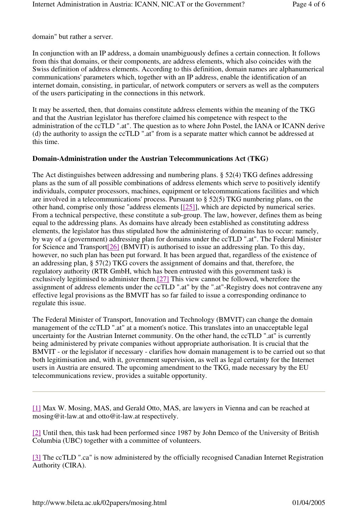domain" but rather a server.

In conjunction with an IP address, a domain unambiguously defines a certain connection. It follows from this that domains, or their components, are address elements, which also coincides with the Swiss definition of address elements. According to this definition, domain names are alphanumerical communications' parameters which, together with an IP address, enable the identification of an internet domain, consisting, in particular, of network computers or servers as well as the computers of the users participating in the connections in this network.

It may be asserted, then, that domains constitute address elements within the meaning of the TKG and that the Austrian legislator has therefore claimed his competence with respect to the administration of the ccTLD ".at". The question as to where John Postel, the IANA or ICANN derive (d) the authority to assign the ccTLD ".at" from is a separate matter which cannot be addressed at this time.

## **Domain-Administration under the Austrian Telecommunications Act (TKG)**

The Act distinguishes between addressing and numbering plans. § 52(4) TKG defines addressing plans as the sum of all possible combinations of address elements which serve to positively identify individuals, computer processors, machines, equipment or telecommunications facilities and which are involved in a telecommunications' process. Pursuant to § 52(5) TKG numbering plans, on the other hand, comprise only those "address elements [[25]], which are depicted by numerical series. From a technical perspective, these constitute a sub-group. The law, however, defines them as being equal to the addressing plans. As domains have already been established as constituting address elements, the legislator has thus stipulated how the administering of domains has to occur: namely, by way of a (government) addressing plan for domains under the ccTLD ".at". The Federal Minister for Science and Transport[26] (BMVIT) is authorised to issue an addressing plan. To this day, however, no such plan has been put forward. It has been argued that, regardless of the existence of an addressing plan, § 57(2) TKG covers the assignment of domains and that, therefore, the regulatory authority (RTR GmbH, which has been entrusted with this government task) is exclusively legitimised to administer them.[27] This view cannot be followed, wherefore the assignment of address elements under the ccTLD ".at" by the ".at"-Registry does not contravene any effective legal provisions as the BMVIT has so far failed to issue a corresponding ordinance to regulate this issue.

The Federal Minister of Transport, Innovation and Technology (BMVIT) can change the domain management of the ccTLD ".at" at a moment's notice. This translates into an unacceptable legal uncertainty for the Austrian Internet community. On the other hand, the ccTLD ".at" is currently being administered by private companies without appropriate authorisation. It is crucial that the BMVIT - or the legislator if necessary - clarifies how domain management is to be carried out so that both legitimisation and, with it, government supervision, as well as legal certainty for the Internet users in Austria are ensured. The upcoming amendment to the TKG, made necessary by the EU telecommunications review, provides a suitable opportunity.

[1] Max W. Mosing, MAS, and Gerald Otto, MAS, are lawyers in Vienna and can be reached at mosing@it-law.at and otto@it-law.at respectively.

[2] Until then, this task had been performed since 1987 by John Demco of the University of British Columbia (UBC) together with a committee of volunteers.

[3] The ccTLD ".ca" is now administered by the officially recognised Canadian Internet Registration Authority (CIRA).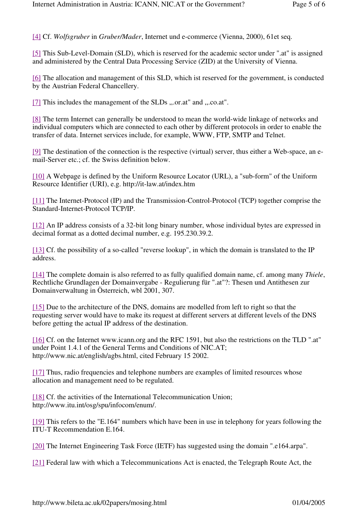[4] Cf. *Wolfsgruber* in *Gruber/Mader*, Internet und e-commerce (Vienna, 2000), 61et seq.

[5] This Sub-Level-Domain (SLD), which is reserved for the academic sector under ".at" is assigned and administered by the Central Data Processing Service (ZID) at the University of Vienna.

[6] The allocation and management of this SLD, which ist reserved for the government, is conducted by the Austrian Federal Chancellery.

[7] This includes the management of the SLDs ,,.or.at" and ,,.co.at".

[8] The term Internet can generally be understood to mean the world-wide linkage of networks and individual computers which are connected to each other by different protocols in order to enable the transfer of data. Internet services include, for example, WWW, FTP, SMTP and Telnet.

[9] The destination of the connection is the respective (virtual) server, thus either a Web-space, an email-Server etc.; cf. the Swiss definition below.

[10] A Webpage is defined by the Uniform Resource Locator (URL), a "sub-form" of the Uniform Resource Identifier (URI), e.g. http://it-law.at/index.htm

[11] The Internet-Protocol (IP) and the Transmission-Control-Protocol (TCP) together comprise the Standard-Internet-Protocol TCP/IP.

[12] An IP address consists of a 32-bit long binary number, whose individual bytes are expressed in decimal format as a dotted decimal number, e.g. 195.230.39.2.

[13] Cf. the possibility of a so-called "reverse lookup", in which the domain is translated to the IP address.

[14] The complete domain is also referred to as fully qualified domain name, cf. among many *Thiele*, Rechtliche Grundlagen der Domainvergabe - Regulierung für ".at"?: Thesen und Antithesen zur Domainverwaltung in Österreich, wbl 2001, 307.

[15] Due to the architecture of the DNS, domains are modelled from left to right so that the requesting server would have to make its request at different servers at different levels of the DNS before getting the actual IP address of the destination.

[16] Cf. on the Internet www.icann.org and the RFC 1591, but also the restrictions on the TLD ".at" under Point 1.4.1 of the General Terms and Conditions of NIC.AT; http://www.nic.at/english/agbs.html, cited February 15 2002.

[17] Thus, radio frequencies and telephone numbers are examples of limited resources whose allocation and management need to be regulated.

[18] Cf. the activities of the International Telecommunication Union; http://www.itu.int/osg/spu/infocom/enum/.

[19] This refers to the "E.164" numbers which have been in use in telephony for years following the ITU-T Recommendation E.164.

[20] The Internet Engineering Task Force (IETF) has suggested using the domain ".e164.arpa".

[21] Federal law with which a Telecommunications Act is enacted, the Telegraph Route Act, the